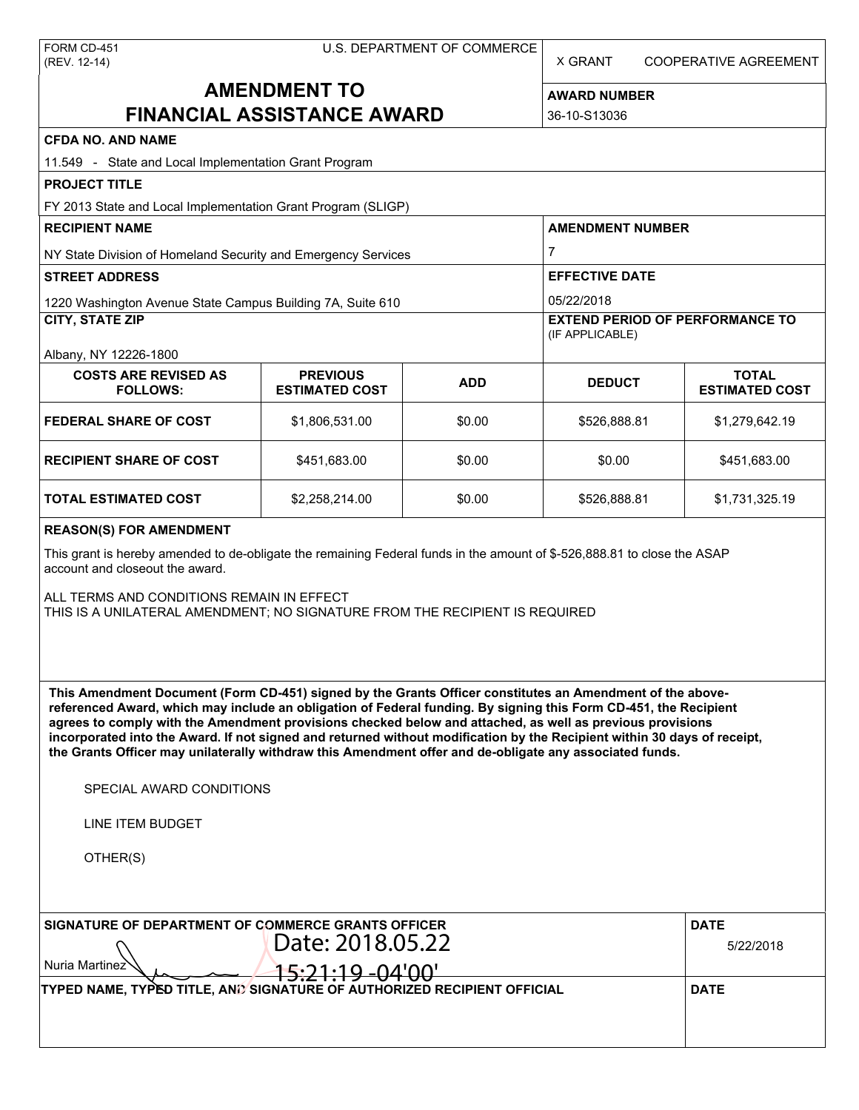X GRANT COOPERATIVE AGREEMENT

# **AMENDMENT TO FINANCIAL ASSISTANCE AWARD**

**AWARD NUMBER** 36-10-S13036

| <b>CFDA NO. AND NAME</b>                                                                                                                                                                                                                                                                                                                                                                                                                                                                                                                                                          |                                          |            |                                                                                                                                               |                                       |  |  |
|-----------------------------------------------------------------------------------------------------------------------------------------------------------------------------------------------------------------------------------------------------------------------------------------------------------------------------------------------------------------------------------------------------------------------------------------------------------------------------------------------------------------------------------------------------------------------------------|------------------------------------------|------------|-----------------------------------------------------------------------------------------------------------------------------------------------|---------------------------------------|--|--|
| 11.549 - State and Local Implementation Grant Program                                                                                                                                                                                                                                                                                                                                                                                                                                                                                                                             |                                          |            |                                                                                                                                               |                                       |  |  |
| <b>PROJECT TITLE</b>                                                                                                                                                                                                                                                                                                                                                                                                                                                                                                                                                              |                                          |            |                                                                                                                                               |                                       |  |  |
| FY 2013 State and Local Implementation Grant Program (SLIGP)                                                                                                                                                                                                                                                                                                                                                                                                                                                                                                                      |                                          |            |                                                                                                                                               |                                       |  |  |
| <b>RECIPIENT NAME</b>                                                                                                                                                                                                                                                                                                                                                                                                                                                                                                                                                             |                                          |            | <b>AMENDMENT NUMBER</b><br>$\overline{7}$<br><b>EFFECTIVE DATE</b><br>05/22/2018<br><b>EXTEND PERIOD OF PERFORMANCE TO</b><br>(IF APPLICABLE) |                                       |  |  |
| NY State Division of Homeland Security and Emergency Services                                                                                                                                                                                                                                                                                                                                                                                                                                                                                                                     |                                          |            |                                                                                                                                               |                                       |  |  |
| <b>STREET ADDRESS</b>                                                                                                                                                                                                                                                                                                                                                                                                                                                                                                                                                             |                                          |            |                                                                                                                                               |                                       |  |  |
| 1220 Washington Avenue State Campus Building 7A, Suite 610                                                                                                                                                                                                                                                                                                                                                                                                                                                                                                                        |                                          |            |                                                                                                                                               |                                       |  |  |
| <b>CITY, STATE ZIP</b>                                                                                                                                                                                                                                                                                                                                                                                                                                                                                                                                                            |                                          |            |                                                                                                                                               |                                       |  |  |
| Albany, NY 12226-1800                                                                                                                                                                                                                                                                                                                                                                                                                                                                                                                                                             |                                          |            |                                                                                                                                               |                                       |  |  |
| <b>COSTS ARE REVISED AS</b><br><b>FOLLOWS:</b>                                                                                                                                                                                                                                                                                                                                                                                                                                                                                                                                    | <b>PREVIOUS</b><br><b>ESTIMATED COST</b> | <b>ADD</b> | <b>DEDUCT</b>                                                                                                                                 | <b>TOTAL</b><br><b>ESTIMATED COST</b> |  |  |
| <b>FEDERAL SHARE OF COST</b>                                                                                                                                                                                                                                                                                                                                                                                                                                                                                                                                                      | \$1,806,531.00                           | \$0.00     | \$526,888.81                                                                                                                                  | \$1,279,642.19                        |  |  |
| <b>RECIPIENT SHARE OF COST</b>                                                                                                                                                                                                                                                                                                                                                                                                                                                                                                                                                    | \$451,683.00                             | \$0.00     | \$0.00                                                                                                                                        | \$451,683.00                          |  |  |
| <b>TOTAL ESTIMATED COST</b>                                                                                                                                                                                                                                                                                                                                                                                                                                                                                                                                                       | \$2,258,214.00                           | \$0.00     | \$526,888.81                                                                                                                                  | \$1,731,325.19                        |  |  |
| <b>REASON(S) FOR AMENDMENT</b>                                                                                                                                                                                                                                                                                                                                                                                                                                                                                                                                                    |                                          |            |                                                                                                                                               |                                       |  |  |
| This grant is hereby amended to de-obligate the remaining Federal funds in the amount of \$-526,888.81 to close the ASAP<br>account and closeout the award.                                                                                                                                                                                                                                                                                                                                                                                                                       |                                          |            |                                                                                                                                               |                                       |  |  |
| ALL TERMS AND CONDITIONS REMAIN IN EFFECT<br>THIS IS A UNILATERAL AMENDMENT; NO SIGNATURE FROM THE RECIPIENT IS REQUIRED                                                                                                                                                                                                                                                                                                                                                                                                                                                          |                                          |            |                                                                                                                                               |                                       |  |  |
| This Amendment Document (Form CD-451) signed by the Grants Officer constitutes an Amendment of the above-<br>referenced Award, which may include an obligation of Federal funding. By signing this Form CD-451, the Recipient<br>agrees to comply with the Amendment provisions checked below and attached, as well as previous provisions<br>incorporated into the Award. If not signed and returned without modification by the Recipient within 30 days of receipt,<br>the Grants Officer may unilaterally withdraw this Amendment offer and de-obligate any associated funds. |                                          |            |                                                                                                                                               |                                       |  |  |
| SPECIAL AWARD CONDITIONS                                                                                                                                                                                                                                                                                                                                                                                                                                                                                                                                                          |                                          |            |                                                                                                                                               |                                       |  |  |
| <b>LINE ITEM BUDGET</b>                                                                                                                                                                                                                                                                                                                                                                                                                                                                                                                                                           |                                          |            |                                                                                                                                               |                                       |  |  |
| OTHER(S)                                                                                                                                                                                                                                                                                                                                                                                                                                                                                                                                                                          |                                          |            |                                                                                                                                               |                                       |  |  |
| SIGNATURE OF DEPARTMENT OF COMMERCE GRANTS OFFICER                                                                                                                                                                                                                                                                                                                                                                                                                                                                                                                                |                                          |            |                                                                                                                                               | <b>DATE</b>                           |  |  |
| Date: 2018.05.22                                                                                                                                                                                                                                                                                                                                                                                                                                                                                                                                                                  |                                          |            |                                                                                                                                               | 5/22/2018                             |  |  |
| Nuria Martinez                                                                                                                                                                                                                                                                                                                                                                                                                                                                                                                                                                    | <del>5:21:19</del> -04'00'               |            |                                                                                                                                               |                                       |  |  |
| TYPED NAME, TYPED TITLE, AND SIGNATURE OF AUTHORIZED RECIPIENT OFFICIAL                                                                                                                                                                                                                                                                                                                                                                                                                                                                                                           |                                          |            |                                                                                                                                               | <b>DATE</b>                           |  |  |